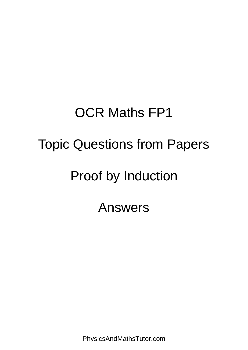## OCR Maths FP1 Topic Questions from Papers Proof by Induction Answers

PhysicsAndMathsTutor.com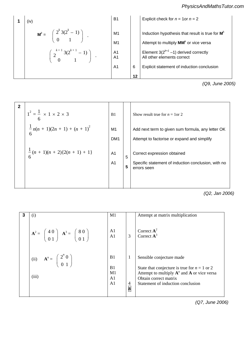t **CD** ) *PhysicsAndMathsTutor.com*Attempt to find **DC** (no

1 (iv)  
\n
$$
\mathbf{M}^{k} = \begin{pmatrix} 2^{k} 3(2^{k} - 1) \\ 0 & 1 \end{pmatrix}
$$
\n
$$
\mathbf{M}^{t} = \begin{pmatrix} 2^{k} 3(2^{k} - 1) \\ 0 & 1 \end{pmatrix}
$$
\n
$$
\mathbf{M}^{t} = \begin{pmatrix} 2^{k+1} 3(2^{k+1} - 1) \\ 0 & 1 \end{pmatrix}
$$
\n
$$
\mathbf{M}^{t} = \begin{pmatrix} 2^{k+1} 3(2^{k+1} - 1) \\ 0 & 1 \end{pmatrix}
$$
\n
$$
\mathbf{M}^{t} = \begin{pmatrix} 2^{k+1} - 1 \\ 4 & 1 \\ 4 & 1 \end{pmatrix}
$$
\n
$$
\mathbf{M}^{t} = \begin{pmatrix} 2^{k+1} - 1 \\ 4 & 1 \\ 4 & 1 \end{pmatrix}
$$
\n
$$
\mathbf{M}^{t} = \begin{pmatrix} 2^{k+1} - 1 \\ 4 & 1 \\ 4 & 1 \end{pmatrix}
$$
\n
$$
\mathbf{M}^{t} = \begin{pmatrix} 2^{k+1} - 1 \\ 4 & 1 \\ 4 & 1 \end{pmatrix}
$$
\n
$$
\mathbf{M}^{t} = \begin{pmatrix} 2^{k+1} - 1 \\ 4 & 1 \\ 4 & 1 \end{pmatrix}
$$
\n
$$
\mathbf{M}^{t} = \begin{pmatrix} 2^{k+1} - 1 \\ 4 & 1 \\ 4 & 1 \end{pmatrix}
$$
\n
$$
\mathbf{M}^{t} = \begin{pmatrix} 2^{k+1} - 1 \\ 4 & 1 \\ 4 & 1 \end{pmatrix}
$$
\n
$$
\mathbf{M}^{t} = \begin{pmatrix} 2^{k+1} - 1 \\ 4 & 1 \\ 4 & 1 \end{pmatrix}
$$
\n
$$
\mathbf{M}^{t} = \begin{pmatrix} 2^{k+1} - 1 \\ 4 & 1 \\ 4 & 1 \end{pmatrix}
$$
\n
$$
\mathbf{M}^{t} = \begin{pmatrix} 2^{k+1} - 1 \\ 4 & 1 \\ 4 & 1 \end{pmatrix}
$$
\n
$$
\mathbf{M}^{t} = \begin{pmatrix}
$$

*(Q9, June 2005)*

| $\overline{2}$ | $1^2 = \frac{1}{2} \times 1 \times 2 \times 3$<br>$\frac{1}{2} n(n + 1)(2n + 1) + (n + 1)^2$ | B1<br>M1                                            |        | Show result true for $n = 1$ or 2<br>Add next term to given sum formula, any letter OK                                                           |
|----------------|----------------------------------------------------------------------------------------------|-----------------------------------------------------|--------|--------------------------------------------------------------------------------------------------------------------------------------------------|
|                | $\frac{1}{6}(n+1)(n+2){2(n+1)+1}$                                                            | DM <sub>1</sub><br>A <sub>1</sub><br>A <sub>1</sub> | 5<br>5 | Attempt to factorise or expand and simplify<br>Correct expression obtained<br>Specific statement of induction conclusion, with no<br>errors seen |

**54**

*(Q2, Jan 2006)*

| 3 | (i)                                                                                                       | M1                                                 |                                       | Attempt at matrix multiplication                                                                                                                                                          |
|---|-----------------------------------------------------------------------------------------------------------|----------------------------------------------------|---------------------------------------|-------------------------------------------------------------------------------------------------------------------------------------------------------------------------------------------|
|   | $A^2 = \begin{pmatrix} 4 & 0 \\ 0 & 1 \end{pmatrix}$ $A^3 = \begin{pmatrix} 8 & 0 \\ 0 & 1 \end{pmatrix}$ | A1<br>A <sub>1</sub>                               | $\overline{3}$                        | Correct $A^2$<br>Correct $A^3$                                                                                                                                                            |
|   | (ii) $A^n = \begin{pmatrix} 2^n & 0 \\ 0 & 1 \end{pmatrix}$<br>(iii)                                      | B1<br>B1<br>M1<br>A <sub>1</sub><br>A <sub>1</sub> | 1<br>$\overline{4}$<br>$\overline{8}$ | Sensible conjecture made<br>State that conjecture is true for $n = 1$ or 2<br>Attempt to multiply $A^n$ and A or vice versa<br>Obtain correct matrix<br>Statement of induction conclusion |

 $\sim$ rect expansion process shown process shown process shown process shown process shown process shown process shown process shown process shown process shown process shown process shown process shown process shown process *(Q7, June 2006)*

*x* 

 $\overline{\phantom{0}}$ 

 $\tau$ 

*PMT*

 $\mathbf{1}_{\{1,2,3\}}$  or  $\mathbf{1}_{\{1,3,4\}}$  or  $\mathbf{1}_{\{1,3,4\}}$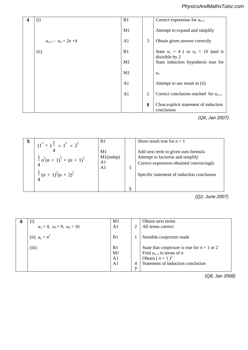|     | 4 | (i)                      | B1             |   | Correct expression for $u_{n+1}$                      |
|-----|---|--------------------------|----------------|---|-------------------------------------------------------|
|     |   |                          | M1             |   | Attempt to expand and simplify                        |
|     |   | $u_{n+1} - u_n = 2n + 4$ | A1             | 3 | Obtain given answer correctly                         |
| PMT |   | (ii)                     | B1             |   | State $u_1 = 4$ ( or $u_2 = 10$ ) and is              |
|     |   |                          | M1             |   | divisible by 2<br>State induction hypothesis true for |
| PMT |   |                          | M1             |   | $u_n$                                                 |
|     |   |                          | A <sub>1</sub> |   | Attempt to use result in (ii)                         |
|     |   |                          | A <sub>1</sub> | 5 | Correct conclusion reached for $u_{n+1}$              |
|     |   |                          |                | 8 | Clear, explicit statement of induction<br>conclusion  |
|     |   |                          |                |   | (001112007)                                           |

*(Q6, Jan 2007)*

 $\pm$ 

| 5 | $(1^3 = )\frac{1}{4} \times 1^2 \times 2^2$                      | B1                                         | Show result true for $n = 1$                                                                                                                                      |
|---|------------------------------------------------------------------|--------------------------------------------|-------------------------------------------------------------------------------------------------------------------------------------------------------------------|
|   | $\frac{1}{4}n^2(n+1)^2 + (n+1)^3$<br>$\frac{1}{4}(n+1)^2(n+2)^2$ | M1<br>$M1$ (indep)<br>A1<br>A <sub>1</sub> | Add next term to given sum formula<br>Attempt to factorise and simplify<br>Correct expression obtained convincingly<br>Specific statement of induction conclusion |
|   |                                                                  |                                            |                                                                                                                                                                   |

equation, or any multiple. Consider the sum of three separate terms *(Q2, June 2007)* Premultiply column by **A**-1, no other method  $Q\mathbf{z}$ , sur

| $\left(1\right)$<br>6              | M1                   |              | Obtain next terms                                                              |
|------------------------------------|----------------------|--------------|--------------------------------------------------------------------------------|
| $u_2 = 4$ , $u_3 = 9$ , $u_4 = 16$ | A <sub>1</sub>       | 2            | All terms correct                                                              |
| (ii) $u_n = n^2$                   | B <sub>1</sub>       | $\mathbf{I}$ | Sensible conjecture made                                                       |
| (iii)                              | B <sub>1</sub><br>M1 |              | State that conjecture is true for $n = 1$ or 2<br>Find $u_{n+1}$ in terms of n |
|                                    | A <sub>1</sub>       |              | Obtain $(n+1)^2$                                                               |
|                                    | A <sub>1</sub>       | 4            | Statement of Induction conclusion                                              |
|                                    |                      | 7            |                                                                                |

Divide by the determinant or solve 2nd pair to *(Q8, Jan 2008)*

 $\alpha$   $\beta$  $\alpha$   $\beta$   $\alpha\beta$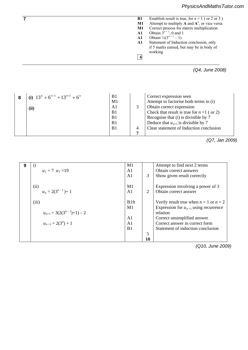|     | Establish result is true, for $n = 1$ (or 2 or 3)<br><b>B1</b> |
|-----|----------------------------------------------------------------|
|     | Attempt to multiply $A$ and $A^n$ , or vice versa<br>M1        |
|     | Correct process for matrix multiplication<br>M1                |
|     | Obtain $3^{n+1}$ , 0 and 1<br>A1                               |
|     | Obtain $\frac{1}{2}(3^{n+1} - 1)$<br>A1                        |
|     | Statement of Induction conclusion, only<br>A1                  |
|     | if 5 marks earned, but may be in body of                       |
|     | working                                                        |
| VПT | 6                                                              |
|     | (Q4, June 2008)                                                |

| (i) $13^n + 6^{n-1} + 13^{n+1} + 6^n$ | B <sub>1</sub> | Correct expression seen                      |
|---------------------------------------|----------------|----------------------------------------------|
|                                       | M1             | Attempt to factorise both terms in (i)       |
| (ii)                                  | A1             | Obtain correct expression                    |
|                                       | B1             | Check that result is true for $n = 1$ (or 2) |
|                                       | B <sub>1</sub> | Recognise that (i) is divisible by 7         |
|                                       | B <sub>1</sub> | Deduce that $u_{n+1}$ is divisible by 7      |
|                                       | B1             | Clear statement of Induction conclusion      |
|                                       |                |                                              |

 $\mathcal{L}$ *(Q7, Jan 2009)* 

|   |                                                                                        |                  |    | $\alpha$                                   |
|---|----------------------------------------------------------------------------------------|------------------|----|--------------------------------------------|
| 9 | $\mathbf{i}$                                                                           | M1               |    | Attempt to find next 2 terms               |
|   | $u_2 = 7$ $u_3 = 19$                                                                   | A <sub>1</sub>   |    | Obtain correct answers                     |
|   |                                                                                        | A <sub>1</sub>   | 3  | Show given result correctly                |
|   | (ii)                                                                                   | M1               |    | Expression involving a power of 3          |
|   | $\alpha^n \overline{\beta} 2(3^{n-1}) + 1 \over \alpha \beta \overline{\beta}$ $\beta$ | A <sub>1</sub>   | 2  | Obtain correct answer                      |
|   | (iii)                                                                                  | B <sub>1ft</sub> |    | Verify result true when $n = 1$ or $n = 2$ |
|   |                                                                                        | M1               |    | Expression for $u_{n+1}$ using recurrence  |
|   | $u_{n+1} = 3(2(3^{n-1})+1) - 2$                                                        |                  |    | relation                                   |
|   |                                                                                        | A <sub>1</sub>   |    | Correct unsimplified answer                |
|   | $u_{n+1} = 2(3^n) + 1$                                                                 | A <sub>1</sub>   |    | Correct answer in correct form             |
|   |                                                                                        | B1               |    | Statement of induction conclusion          |
|   |                                                                                        |                  | 5  |                                            |
|   |                                                                                        |                  | 10 |                                            |

Express terms as differences using (i) *(Q10, June 2009)*  $\mathbf{Q}$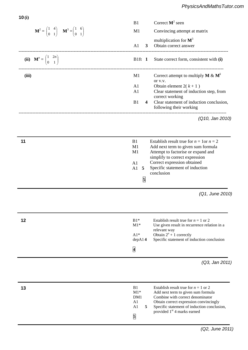| × |  |
|---|--|
|---|--|

)12)(12( <sup>3</sup> <sup>1</sup> <sup>−</sup> *nnn* <sup>+</sup>

|                                                                                                                             | Correct $M^2$ seen<br>B1                                                                                                                                                                                                                                                                                      |
|-----------------------------------------------------------------------------------------------------------------------------|---------------------------------------------------------------------------------------------------------------------------------------------------------------------------------------------------------------------------------------------------------------------------------------------------------------|
| $\mathbf{M}^2 = \begin{pmatrix} 1 & 4 \\ 0 & 1 \end{pmatrix}$ $\mathbf{M}^3 = \begin{pmatrix} 1 & 6 \\ 0 & 1 \end{pmatrix}$ | Convincing attempt at matrix<br>M1                                                                                                                                                                                                                                                                            |
| -------------------------                                                                                                   | multiplication for $M^3$<br>Obtain correct answer<br>A1<br>3 <sup>1</sup>                                                                                                                                                                                                                                     |
| (ii) $\mathbf{M}^n = \begin{pmatrix} 1 & 2n \\ 0 & 1 \end{pmatrix}$                                                         | State correct form, consistent with (i)<br>B1ft 1                                                                                                                                                                                                                                                             |
| (iii)                                                                                                                       | Correct attempt to multiply <b>M</b> & $M^k$<br>M1<br>or v.v.<br>Obtain element $2(k+1)$<br>A1<br>A1<br>Clear statement of induction step, from<br>correct working<br>Clear statement of induction conclusion,<br>B1<br>$\overline{\mathbf{4}}$                                                               |
|                                                                                                                             | following their working<br>(Q10, Jan 2010)                                                                                                                                                                                                                                                                    |
| 11                                                                                                                          | Establish result true for $n = 1$ or $n = 2$<br>B1<br>M1<br>Add next term to given sum formula<br>Attempt to factorise or expand and<br>M1<br>simplify to correct expression<br>Correct expression obtained<br>A1<br>Specific statement of induction<br>A1<br>5<br>conclusion<br>5                            |
|                                                                                                                             | (Q1, June 2010)                                                                                                                                                                                                                                                                                               |
| 12                                                                                                                          | $B1*$<br>Establish result true for $n = 1$ or 2<br>$M1*$<br>Use given result in recurrence relation in a<br>relevant way<br>$A1*$<br>Obtain $2^n + 1$ correctly<br>Specific statement of induction conclusion<br>depA14<br>$\overline{\mathbf{4}}$                                                            |
|                                                                                                                             | (Q3, Jan 2011)                                                                                                                                                                                                                                                                                                |
| 13                                                                                                                          | B1<br>Establish result true for $n = 1$ or 2<br>$M1*$<br>Add next term to given sum formula<br>Combine with correct denominator<br>DM1<br>A1<br>Obtain correct expression convincingly<br>A1<br>Specific statement of induction conclusion,<br>5<br>provided 1 <sup>st</sup> 4 marks earned<br>$\overline{5}$ |

A1 **6**

*a* = 4 *b* = – 4 A1 A1 Obtain correct answers